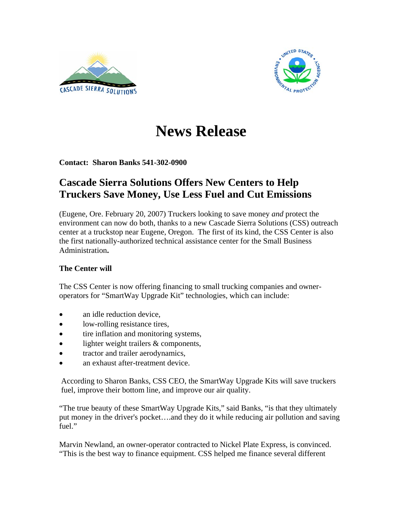



## **News Release**

**Contact: Sharon Banks 541-302-0900** 

## **Cascade Sierra Solutions Offers New Centers to Help Truckers Save Money, Use Less Fuel and Cut Emissions**

(Eugene, Ore. February 20, 2007) Truckers looking to save money *and* protect the environment can now do both, thanks to a new Cascade Sierra Solutions (CSS) outreach center at a truckstop near Eugene, Oregon. The first of its kind, the CSS Center is also the first nationally-authorized technical assistance center for the Small Business Administration**.** 

## **The Center will**

The CSS Center is now offering financing to small trucking companies and owneroperators for "SmartWay Upgrade Kit" technologies, which can include:

- an idle reduction device,
- low-rolling resistance tires,
- tire inflation and monitoring systems,
- lighter weight trailers & components,
- tractor and trailer aerodynamics,
- an exhaust after-treatment device.

According to Sharon Banks, CSS CEO, the SmartWay Upgrade Kits will save truckers fuel, improve their bottom line, and improve our air quality.

"The true beauty of these SmartWay Upgrade Kits," said Banks, "is that they ultimately put money in the driver's pocket….and they do it while reducing air pollution and saving fuel."

Marvin Newland, an owner-operator contracted to Nickel Plate Express, is convinced. "This is the best way to finance equipment. CSS helped me finance several different